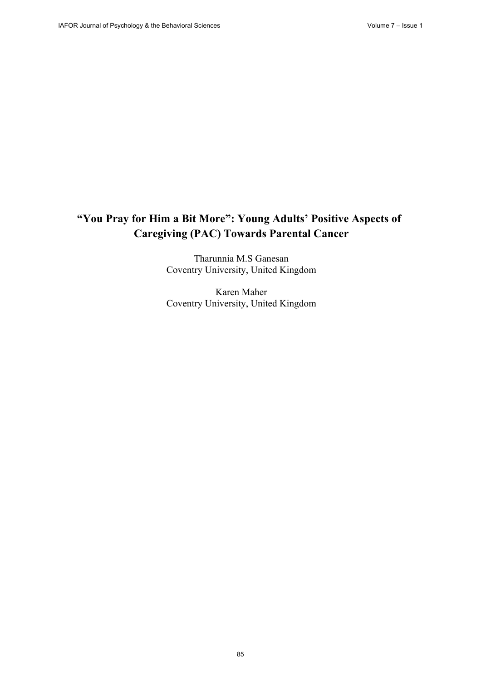# **"You Pray for Him a Bit More": Young Adults' Positive Aspects of Caregiving (PAC) Towards Parental Cancer**

Tharunnia M.S Ganesan Coventry University, United Kingdom

Karen Maher Coventry University, United Kingdom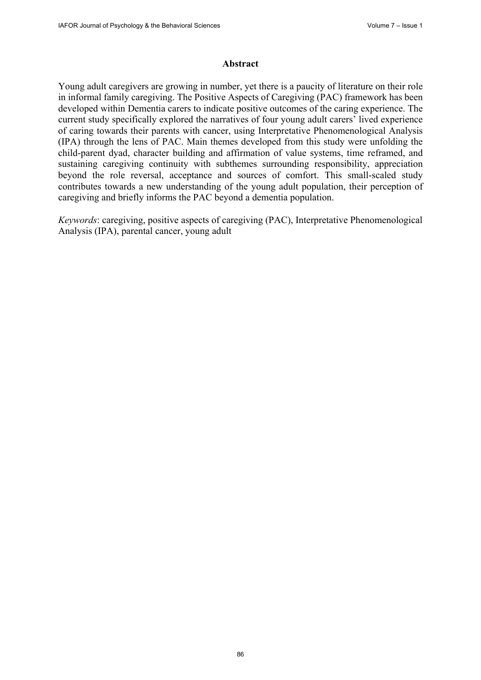#### **Abstract**

Young adult caregivers are growing in number, yet there is a paucity of literature on their role in informal family caregiving. The Positive Aspects of Caregiving (PAC) framework has been developed within Dementia carers to indicate positive outcomes of the caring experience. The current study specifically explored the narratives of four young adult carers' lived experience of caring towards their parents with cancer, using Interpretative Phenomenological Analysis (IPA) through the lens of PAC. Main themes developed from this study were unfolding the child-parent dyad, character building and affirmation of value systems, time reframed, and sustaining caregiving continuity with subthemes surrounding responsibility, appreciation beyond the role reversal, acceptance and sources of comfort. This small-scaled study contributes towards a new understanding of the young adult population, their perception of caregiving and briefly informs the PAC beyond a dementia population.

*Keywords*: caregiving, positive aspects of caregiving (PAC), Interpretative Phenomenological Analysis (IPA), parental cancer, young adult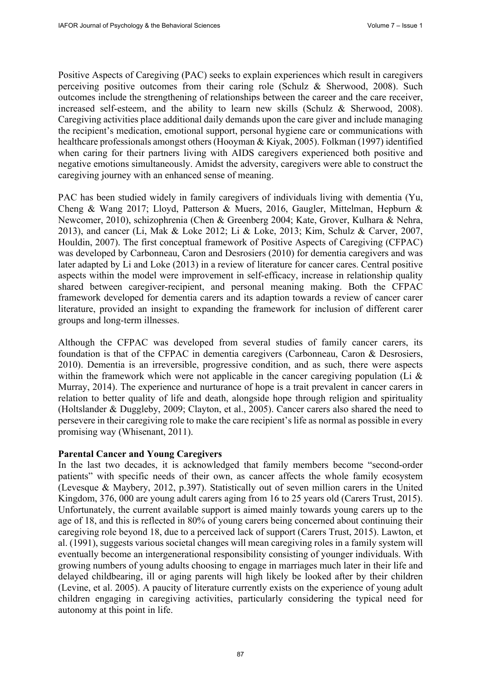Positive Aspects of Caregiving (PAC) seeks to explain experiences which result in caregivers perceiving positive outcomes from their caring role (Schulz & Sherwood, 2008). Such outcomes include the strengthening of relationships between the career and the care receiver, increased self-esteem, and the ability to learn new skills (Schulz & Sherwood, 2008). Caregiving activities place additional daily demands upon the care giver and include managing the recipient's medication, emotional support, personal hygiene care or communications with healthcare professionals amongst others (Hooyman & Kiyak, 2005). Folkman (1997) identified when caring for their partners living with AIDS caregivers experienced both positive and negative emotions simultaneously. Amidst the adversity, caregivers were able to construct the caregiving journey with an enhanced sense of meaning.

PAC has been studied widely in family caregivers of individuals living with dementia (Yu, Cheng & Wang 2017; Lloyd, Patterson & Muers, 2016, Gaugler, Mittelman, Hepburn & Newcomer, 2010), schizophrenia (Chen & Greenberg 2004; Kate, Grover, Kulhara & Nehra, 2013), and cancer (Li, Mak & Loke 2012; Li & Loke, 2013; Kim, Schulz & Carver, 2007, Houldin, 2007). The first conceptual framework of Positive Aspects of Caregiving (CFPAC) was developed by Carbonneau, Caron and Desrosiers (2010) for dementia caregivers and was later adapted by Li and Loke (2013) in a review of literature for cancer cares. Central positive aspects within the model were improvement in self-efficacy, increase in relationship quality shared between caregiver-recipient, and personal meaning making. Both the CFPAC framework developed for dementia carers and its adaption towards a review of cancer carer literature, provided an insight to expanding the framework for inclusion of different carer groups and long-term illnesses.

Although the CFPAC was developed from several studies of family cancer carers, its foundation is that of the CFPAC in dementia caregivers (Carbonneau, Caron & Desrosiers, 2010). Dementia is an irreversible, progressive condition, and as such, there were aspects within the framework which were not applicable in the cancer caregiving population (Li & Murray, 2014). The experience and nurturance of hope is a trait prevalent in cancer carers in relation to better quality of life and death, alongside hope through religion and spirituality (Holtslander & Duggleby, 2009; Clayton, et al., 2005). Cancer carers also shared the need to persevere in their caregiving role to make the care recipient's life as normal as possible in every promising way (Whisenant, 2011).

#### **Parental Cancer and Young Caregivers**

In the last two decades, it is acknowledged that family members become "second-order patients" with specific needs of their own, as cancer affects the whole family ecosystem (Levesque & Maybery, 2012, p.397). Statistically out of seven million carers in the United Kingdom, 376, 000 are young adult carers aging from 16 to 25 years old (Carers Trust, 2015). Unfortunately, the current available support is aimed mainly towards young carers up to the age of 18, and this is reflected in 80% of young carers being concerned about continuing their caregiving role beyond 18, due to a perceived lack of support (Carers Trust, 2015). Lawton, et al. (1991), suggests various societal changes will mean caregiving roles in a family system will eventually become an intergenerational responsibility consisting of younger individuals. With growing numbers of young adults choosing to engage in marriages much later in their life and delayed childbearing, ill or aging parents will high likely be looked after by their children (Levine, et al. 2005). A paucity of literature currently exists on the experience of young adult children engaging in caregiving activities, particularly considering the typical need for autonomy at this point in life.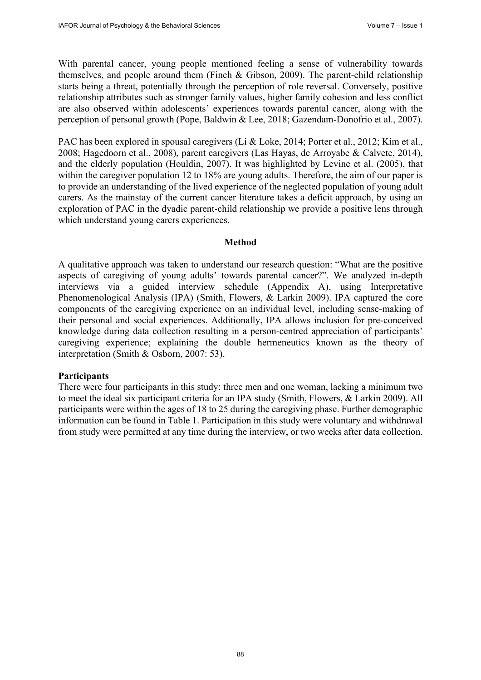With parental cancer, young people mentioned feeling a sense of vulnerability towards themselves, and people around them (Finch & Gibson, 2009). The parent-child relationship starts being a threat, potentially through the perception of role reversal. Conversely, positive relationship attributes such as stronger family values, higher family cohesion and less conflict are also observed within adolescents' experiences towards parental cancer, along with the perception of personal growth (Pope, Baldwin & Lee, 2018; Gazendam-Donofrio et al., 2007).

PAC has been explored in spousal caregivers (Li & Loke, 2014; Porter et al., 2012; Kim et al., 2008; Hagedoorn et al., 2008), parent caregivers (Las Hayas, de Arroyabe & Calvete, 2014), and the elderly population (Houldin, 2007). It was highlighted by Levine et al. (2005), that within the caregiver population 12 to 18% are young adults. Therefore, the aim of our paper is to provide an understanding of the lived experience of the neglected population of young adult carers. As the mainstay of the current cancer literature takes a deficit approach, by using an exploration of PAC in the dyadic parent-child relationship we provide a positive lens through which understand young carers experiences.

#### **Method**

A qualitative approach was taken to understand our research question: "What are the positive aspects of caregiving of young adults' towards parental cancer?". We analyzed in-depth interviews via a guided interview schedule (Appendix A), using Interpretative Phenomenological Analysis (IPA) (Smith, Flowers, & Larkin 2009). IPA captured the core components of the caregiving experience on an individual level, including sense-making of their personal and social experiences. Additionally, IPA allows inclusion for pre-conceived knowledge during data collection resulting in a person-centred appreciation of participants' caregiving experience; explaining the double hermeneutics known as the theory of interpretation (Smith & Osborn, 2007: 53).

#### **Participants**

There were four participants in this study: three men and one woman, lacking a minimum two to meet the ideal six participant criteria for an IPA study (Smith, Flowers, & Larkin 2009). All participants were within the ages of 18 to 25 during the caregiving phase. Further demographic information can be found in Table 1. Participation in this study were voluntary and withdrawal from study were permitted at any time during the interview, or two weeks after data collection.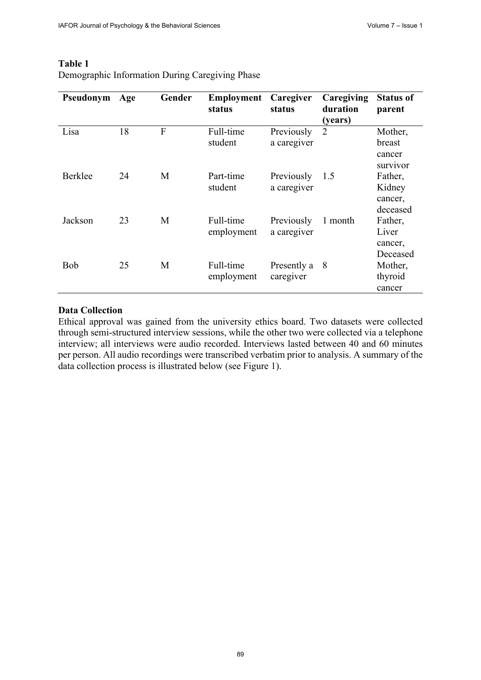| Pseudonym | Age | Gender | <b>Employment</b><br>status | Caregiver<br>status       | Caregiving<br>duration<br>(years) | <b>Status of</b><br>parent               |
|-----------|-----|--------|-----------------------------|---------------------------|-----------------------------------|------------------------------------------|
| Lisa      | 18  | F      | Full-time<br>student        | Previously<br>a caregiver | $\overline{2}$                    | Mother,<br>breast<br>cancer<br>survivor  |
| Berklee   | 24  | M      | Part-time<br>student        | Previously<br>a caregiver | 1.5                               | Father,<br>Kidney<br>cancer,<br>deceased |
| Jackson   | 23  | M      | Full-time<br>employment     | Previously<br>a caregiver | 1 month                           | Father,<br>Liver<br>cancer,<br>Deceased  |
| Bob       | 25  | M      | Full-time<br>employment     | Presently a<br>caregiver  | 8                                 | Mother,<br>thyroid<br>cancer             |

#### **Table 1** Demographic Information During Caregiving Phase

### **Data Collection**

Ethical approval was gained from the university ethics board. Two datasets were collected through semi-structured interview sessions, while the other two were collected via a telephone interview; all interviews were audio recorded. Interviews lasted between 40 and 60 minutes per person. All audio recordings were transcribed verbatim prior to analysis. A summary of the data collection process is illustrated below (see Figure 1).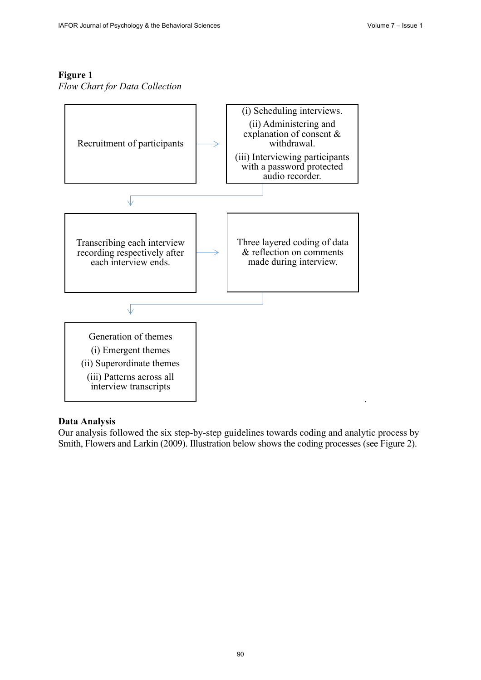## **Figure 1**

*Flow Chart for Data Collection*



### **Data Analysis**

Our analysis followed the six step-by-step guidelines towards coding and analytic process by Smith, Flowers and Larkin (2009). Illustration below shows the coding processes (see Figure 2).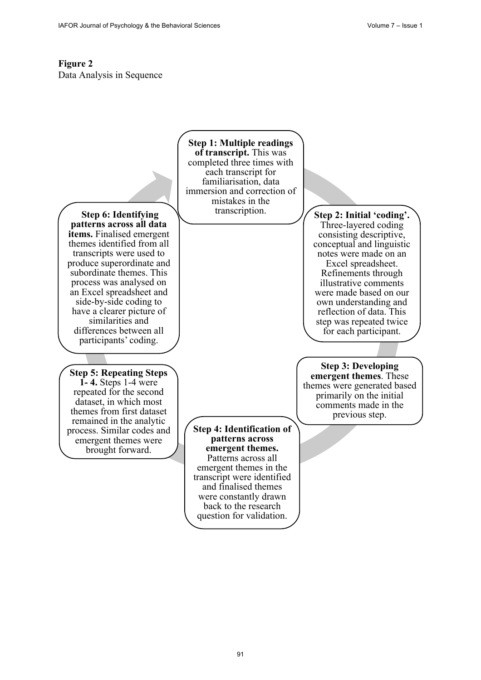# **Figure 2** Data Analysis in Sequence

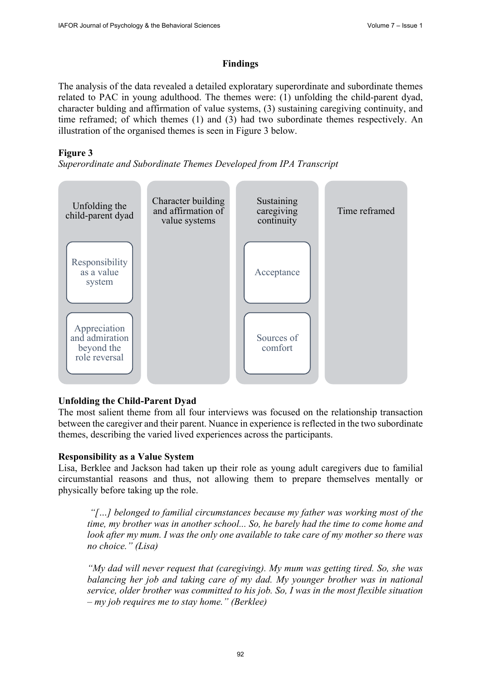### **Findings**

The analysis of the data revealed a detailed exploratary superordinate and subordinate themes related to PAC in young adulthood. The themes were: (1) unfolding the child-parent dyad, character bulding and affirmation of value systems, (3) sustaining caregiving continuity, and time reframed; of which themes (1) and (3) had two subordinate themes respectively. An illustration of the organised themes is seen in Figure 3 below.

## **Figure 3**

*Superordinate and Subordinate Themes Developed from IPA Transcript*



# **Unfolding the Child-Parent Dyad**

The most salient theme from all four interviews was focused on the relationship transaction between the caregiver and their parent. Nuance in experience is reflected in the two subordinate themes, describing the varied lived experiences across the participants.

### **Responsibility as a Value System**

Lisa, Berklee and Jackson had taken up their role as young adult caregivers due to familial circumstantial reasons and thus, not allowing them to prepare themselves mentally or physically before taking up the role.

*"[…] belonged to familial circumstances because my father was working most of the time, my brother was in another school... So, he barely had the time to come home and look after my mum. I was the only one available to take care of my mother so there was no choice." (Lisa)*

*"My dad will never request that (caregiving). My mum was getting tired. So, she was balancing her job and taking care of my dad. My younger brother was in national service, older brother was committed to his job. So, I was in the most flexible situation – my job requires me to stay home." (Berklee)*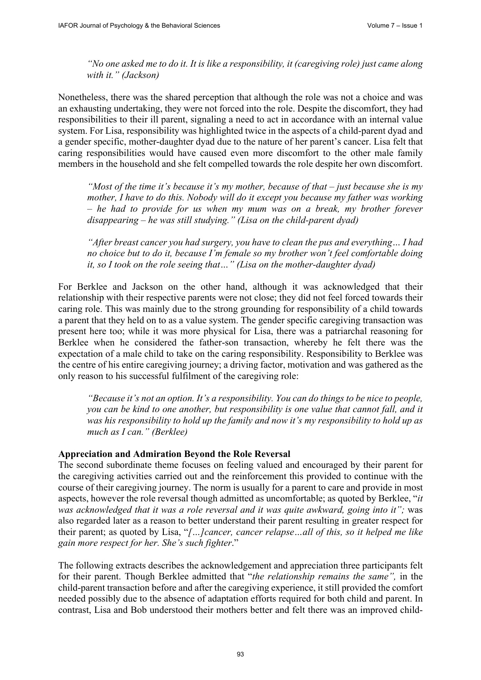*"No one asked me to do it. It is like a responsibility, it (caregiving role) just came along with it." (Jackson)*

Nonetheless, there was the shared perception that although the role was not a choice and was an exhausting undertaking, they were not forced into the role. Despite the discomfort, they had responsibilities to their ill parent, signaling a need to act in accordance with an internal value system. For Lisa, responsibility was highlighted twice in the aspects of a child-parent dyad and a gender specific, mother-daughter dyad due to the nature of her parent's cancer. Lisa felt that caring responsibilities would have caused even more discomfort to the other male family members in the household and she felt compelled towards the role despite her own discomfort.

*"Most of the time it's because it's my mother, because of that – just because she is my mother, I have to do this. Nobody will do it except you because my father was working – he had to provide for us when my mum was on a break, my brother forever disappearing – he was still studying." (Lisa on the child-parent dyad)*

*"After breast cancer you had surgery, you have to clean the pus and everything… I had no choice but to do it, because I'm female so my brother won't feel comfortable doing it, so I took on the role seeing that…" (Lisa on the mother-daughter dyad)*

For Berklee and Jackson on the other hand, although it was acknowledged that their relationship with their respective parents were not close; they did not feel forced towards their caring role. This was mainly due to the strong grounding for responsibility of a child towards a parent that they held on to as a value system. The gender specific caregiving transaction was present here too; while it was more physical for Lisa, there was a patriarchal reasoning for Berklee when he considered the father-son transaction, whereby he felt there was the expectation of a male child to take on the caring responsibility. Responsibility to Berklee was the centre of his entire caregiving journey; a driving factor, motivation and was gathered as the only reason to his successful fulfilment of the caregiving role:

*"Because it's not an option. It's a responsibility. You can do things to be nice to people, you can be kind to one another, but responsibility is one value that cannot fall, and it was his responsibility to hold up the family and now it's my responsibility to hold up as much as I can." (Berklee)*

#### **Appreciation and Admiration Beyond the Role Reversal**

The second subordinate theme focuses on feeling valued and encouraged by their parent for the caregiving activities carried out and the reinforcement this provided to continue with the course of their caregiving journey. The norm is usually for a parent to care and provide in most aspects, however the role reversal though admitted as uncomfortable; as quoted by Berklee, "*it was acknowledged that it was a role reversal and it was quite awkward, going into it";* was also regarded later as a reason to better understand their parent resulting in greater respect for their parent; as quoted by Lisa, "*[…]cancer, cancer relapse…all of this, so it helped me like gain more respect for her. She's such fighter*."

The following extracts describes the acknowledgement and appreciation three participants felt for their parent. Though Berklee admitted that "*the relationship remains the same",* in the child-parent transaction before and after the caregiving experience, it still provided the comfort needed possibly due to the absence of adaptation efforts required for both child and parent. In contrast, Lisa and Bob understood their mothers better and felt there was an improved child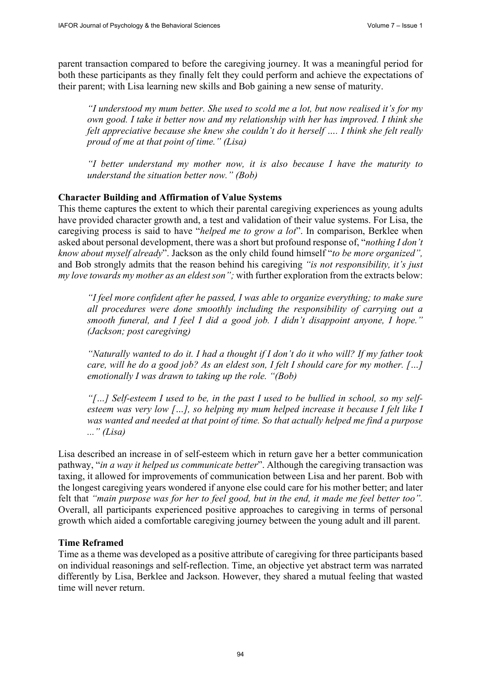parent transaction compared to before the caregiving journey. It was a meaningful period for both these participants as they finally felt they could perform and achieve the expectations of their parent; with Lisa learning new skills and Bob gaining a new sense of maturity.

*"I understood my mum better. She used to scold me a lot, but now realised it's for my own good. I take it better now and my relationship with her has improved. I think she felt appreciative because she knew she couldn't do it herself …. I think she felt really proud of me at that point of time." (Lisa)*

*"I better understand my mother now, it is also because I have the maturity to understand the situation better now." (Bob)*

#### **Character Building and Affirmation of Value Systems**

This theme captures the extent to which their parental caregiving experiences as young adults have provided character growth and, a test and validation of their value systems. For Lisa, the caregiving process is said to have "*helped me to grow a lot*". In comparison, Berklee when asked about personal development, there was a short but profound response of, "*nothing I don't know about myself already*". Jackson as the only child found himself "*to be more organized",* and Bob strongly admits that the reason behind his caregiving *"is not responsibility, it's just my love towards my mother as an eldest son";* with further exploration from the extracts below:

*"I feel more confident after he passed, I was able to organize everything; to make sure all procedures were done smoothly including the responsibility of carrying out a smooth funeral, and I feel I did a good job. I didn't disappoint anyone, I hope." (Jackson; post caregiving)*

*"Naturally wanted to do it. I had a thought if I don't do it who will? If my father took care, will he do a good job? As an eldest son, I felt I should care for my mother. […] emotionally I was drawn to taking up the role. "(Bob)*

*"[…] Self-esteem I used to be, in the past I used to be bullied in school, so my selfesteem was very low […], so helping my mum helped increase it because I felt like I was wanted and needed at that point of time. So that actually helped me find a purpose ..." (Lisa)*

Lisa described an increase in of self-esteem which in return gave her a better communication pathway, "*in a way it helped us communicate better*". Although the caregiving transaction was taxing, it allowed for improvements of communication between Lisa and her parent. Bob with the longest caregiving years wondered if anyone else could care for his mother better; and later felt that *"main purpose was for her to feel good, but in the end, it made me feel better too".* Overall, all participants experienced positive approaches to caregiving in terms of personal growth which aided a comfortable caregiving journey between the young adult and ill parent.

#### **Time Reframed**

Time as a theme was developed as a positive attribute of caregiving for three participants based on individual reasonings and self-reflection. Time, an objective yet abstract term was narrated differently by Lisa, Berklee and Jackson. However, they shared a mutual feeling that wasted time will never return.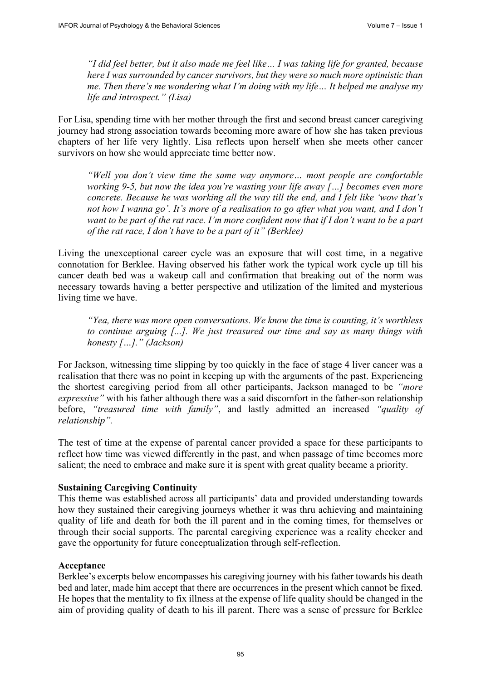*"I did feel better, but it also made me feel like… I was taking life for granted, because here I was surrounded by cancer survivors, but they were so much more optimistic than me. Then there's me wondering what I'm doing with my life… It helped me analyse my life and introspect." (Lisa)*

For Lisa, spending time with her mother through the first and second breast cancer caregiving journey had strong association towards becoming more aware of how she has taken previous chapters of her life very lightly. Lisa reflects upon herself when she meets other cancer survivors on how she would appreciate time better now.

*"Well you don't view time the same way anymore… most people are comfortable working 9-5, but now the idea you're wasting your life away […] becomes even more concrete. Because he was working all the way till the end, and I felt like 'wow that's not how I wanna go'. It's more of a realisation to go after what you want, and I don't want to be part of the rat race. I'm more confident now that if I don't want to be a part of the rat race, I don't have to be a part of it" (Berklee)*

Living the unexceptional career cycle was an exposure that will cost time, in a negative connotation for Berklee. Having observed his father work the typical work cycle up till his cancer death bed was a wakeup call and confirmation that breaking out of the norm was necessary towards having a better perspective and utilization of the limited and mysterious living time we have.

*"Yea, there was more open conversations. We know the time is counting, it's worthless to continue arguing [...]. We just treasured our time and say as many things with honesty […]." (Jackson)*

For Jackson, witnessing time slipping by too quickly in the face of stage 4 liver cancer was a realisation that there was no point in keeping up with the arguments of the past. Experiencing the shortest caregiving period from all other participants, Jackson managed to be *"more expressive"* with his father although there was a said discomfort in the father-son relationship before, *"treasured time with family"*, and lastly admitted an increased *"quality of relationship".*

The test of time at the expense of parental cancer provided a space for these participants to reflect how time was viewed differently in the past, and when passage of time becomes more salient; the need to embrace and make sure it is spent with great quality became a priority.

# **Sustaining Caregiving Continuity**

This theme was established across all participants' data and provided understanding towards how they sustained their caregiving journeys whether it was thru achieving and maintaining quality of life and death for both the ill parent and in the coming times, for themselves or through their social supports. The parental caregiving experience was a reality checker and gave the opportunity for future conceptualization through self-reflection.

### **Acceptance**

Berklee's excerpts below encompasses his caregiving journey with his father towards his death bed and later, made him accept that there are occurrences in the present which cannot be fixed. He hopes that the mentality to fix illness at the expense of life quality should be changed in the aim of providing quality of death to his ill parent. There was a sense of pressure for Berklee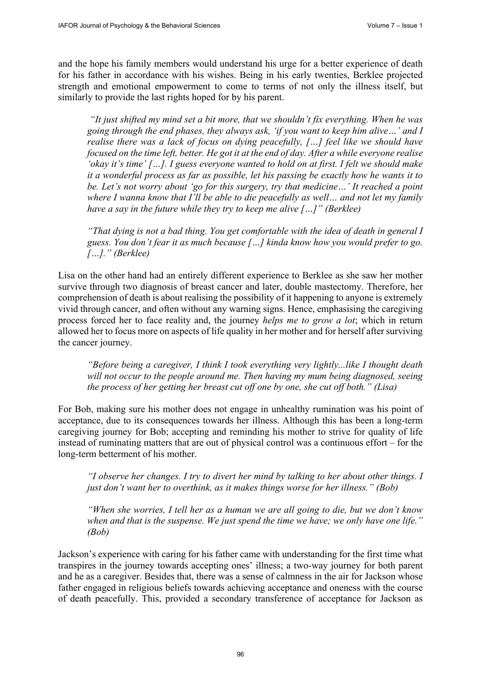and the hope his family members would understand his urge for a better experience of death for his father in accordance with his wishes. Being in his early twenties, Berklee projected strength and emotional empowerment to come to terms of not only the illness itself, but similarly to provide the last rights hoped for by his parent.

*"It just shifted my mind set a bit more, that we shouldn't fix everything. When he was going through the end phases, they always ask, 'if you want to keep him alive…' and I realise there was a lack of focus on dying peacefully, […] feel like we should have focused on the time left, better. He got it at the end of day. After a while everyone realise 'okay it's time' […]. I guess everyone wanted to hold on at first. I felt we should make it a wonderful process as far as possible, let his passing be exactly how he wants it to be. Let's not worry about 'go for this surgery, try that medicine…' It reached a point where I wanna know that I'll be able to die peacefully as well… and not let my family have a say in the future while they try to keep me alive […]" (Berklee)*

*"That dying is not a bad thing. You get comfortable with the idea of death in general I guess. You don't fear it as much because […] kinda know how you would prefer to go. […]." (Berklee)* 

Lisa on the other hand had an entirely different experience to Berklee as she saw her mother survive through two diagnosis of breast cancer and later, double mastectomy. Therefore, her comprehension of death is about realising the possibility of it happening to anyone is extremely vivid through cancer, and often without any warning signs. Hence, emphasising the caregiving process forced her to face reality and, the journey *helps me to grow a lot*; which in return allowed her to focus more on aspects of life quality in her mother and for herself after surviving the cancer journey.

*"Before being a caregiver, I think I took everything very lightly...like I thought death will not occur to the people around me. Then having my mum being diagnosed, seeing the process of her getting her breast cut off one by one, she cut off both." (Lisa)*

For Bob, making sure his mother does not engage in unhealthy rumination was his point of acceptance, due to its consequences towards her illness. Although this has been a long-term caregiving journey for Bob; accepting and reminding his mother to strive for quality of life instead of ruminating matters that are out of physical control was a continuous effort – for the long-term betterment of his mother.

*"I observe her changes. I try to divert her mind by talking to her about other things. I just don't want her to overthink, as it makes things worse for her illness." (Bob)*

*"When she worries, I tell her as a human we are all going to die, but we don't know when and that is the suspense. We just spend the time we have; we only have one life." (Bob)*

Jackson's experience with caring for his father came with understanding for the first time what transpires in the journey towards accepting ones' illness; a two-way journey for both parent and he as a caregiver. Besides that, there was a sense of calmness in the air for Jackson whose father engaged in religious beliefs towards achieving acceptance and oneness with the course of death peacefully. This, provided a secondary transference of acceptance for Jackson as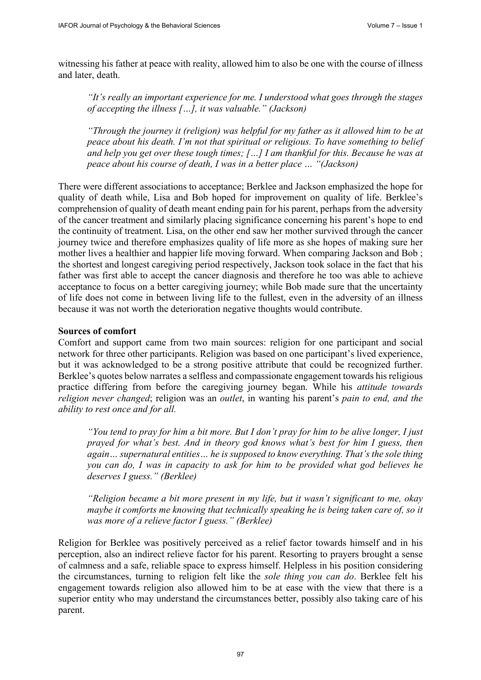witnessing his father at peace with reality, allowed him to also be one with the course of illness and later, death.

*"It's really an important experience for me. I understood what goes through the stages of accepting the illness […], it was valuable." (Jackson)* 

*"Through the journey it (religion) was helpful for my father as it allowed him to be at peace about his death. I'm not that spiritual or religious. To have something to belief and help you get over these tough times; […] I am thankful for this. Because he was at peace about his course of death, I was in a better place … "(Jackson)* 

There were different associations to acceptance; Berklee and Jackson emphasized the hope for quality of death while, Lisa and Bob hoped for improvement on quality of life. Berklee's comprehension of quality of death meant ending pain for his parent, perhaps from the adversity of the cancer treatment and similarly placing significance concerning his parent's hope to end the continuity of treatment. Lisa, on the other end saw her mother survived through the cancer journey twice and therefore emphasizes quality of life more as she hopes of making sure her mother lives a healthier and happier life moving forward. When comparing Jackson and Bob ; the shortest and longest caregiving period respectively, Jackson took solace in the fact that his father was first able to accept the cancer diagnosis and therefore he too was able to achieve acceptance to focus on a better caregiving journey; while Bob made sure that the uncertainty of life does not come in between living life to the fullest, even in the adversity of an illness because it was not worth the deterioration negative thoughts would contribute.

#### **Sources of comfort**

Comfort and support came from two main sources: religion for one participant and social network for three other participants. Religion was based on one participant's lived experience, but it was acknowledged to be a strong positive attribute that could be recognized further. Berklee's quotes below narrates a selfless and compassionate engagement towards his religious practice differing from before the caregiving journey began. While his *attitude towards religion never changed*; religion was an *outlet*, in wanting his parent's *pain to end, and the ability to rest once and for all.*

*"You tend to pray for him a bit more. But I don't pray for him to be alive longer, I just prayed for what's best. And in theory god knows what's best for him I guess, then again… supernatural entities… he is supposed to know everything. That's the sole thing you can do, I was in capacity to ask for him to be provided what god believes he deserves I guess." (Berklee)*

*"Religion became a bit more present in my life, but it wasn't significant to me, okay maybe it comforts me knowing that technically speaking he is being taken care of, so it was more of a relieve factor I guess." (Berklee)*

Religion for Berklee was positively perceived as a relief factor towards himself and in his perception, also an indirect relieve factor for his parent. Resorting to prayers brought a sense of calmness and a safe, reliable space to express himself. Helpless in his position considering the circumstances, turning to religion felt like the *sole thing you can do*. Berklee felt his engagement towards religion also allowed him to be at ease with the view that there is a superior entity who may understand the circumstances better, possibly also taking care of his parent.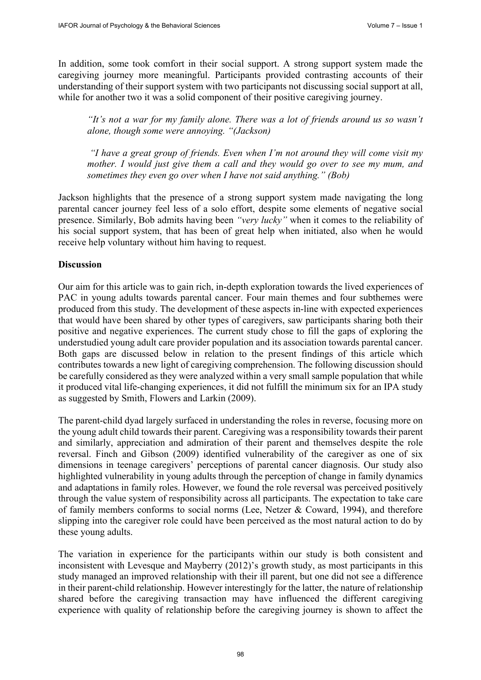In addition, some took comfort in their social support. A strong support system made the caregiving journey more meaningful. Participants provided contrasting accounts of their understanding of their support system with two participants not discussing social support at all, while for another two it was a solid component of their positive caregiving journey.

*"It's not a war for my family alone. There was a lot of friends around us so wasn't alone, though some were annoying. "(Jackson)*

*"I have a great group of friends. Even when I'm not around they will come visit my mother. I would just give them a call and they would go over to see my mum, and sometimes they even go over when I have not said anything." (Bob)*

Jackson highlights that the presence of a strong support system made navigating the long parental cancer journey feel less of a solo effort, despite some elements of negative social presence. Similarly, Bob admits having been *"very lucky"* when it comes to the reliability of his social support system, that has been of great help when initiated, also when he would receive help voluntary without him having to request.

#### **Discussion**

Our aim for this article was to gain rich, in-depth exploration towards the lived experiences of PAC in young adults towards parental cancer. Four main themes and four subthemes were produced from this study. The development of these aspects in-line with expected experiences that would have been shared by other types of caregivers, saw participants sharing both their positive and negative experiences. The current study chose to fill the gaps of exploring the understudied young adult care provider population and its association towards parental cancer. Both gaps are discussed below in relation to the present findings of this article which contributes towards a new light of caregiving comprehension. The following discussion should be carefully considered as they were analyzed within a very small sample population that while it produced vital life-changing experiences, it did not fulfill the minimum six for an IPA study as suggested by Smith, Flowers and Larkin (2009).

The parent-child dyad largely surfaced in understanding the roles in reverse, focusing more on the young adult child towards their parent. Caregiving was a responsibility towards their parent and similarly, appreciation and admiration of their parent and themselves despite the role reversal. Finch and Gibson (2009) identified vulnerability of the caregiver as one of six dimensions in teenage caregivers' perceptions of parental cancer diagnosis. Our study also highlighted vulnerability in young adults through the perception of change in family dynamics and adaptations in family roles. However, we found the role reversal was perceived positively through the value system of responsibility across all participants. The expectation to take care of family members conforms to social norms (Lee, Netzer & Coward, 1994), and therefore slipping into the caregiver role could have been perceived as the most natural action to do by these young adults.

The variation in experience for the participants within our study is both consistent and inconsistent with Levesque and Mayberry (2012)'s growth study, as most participants in this study managed an improved relationship with their ill parent, but one did not see a difference in their parent-child relationship. However interestingly for the latter, the nature of relationship shared before the caregiving transaction may have influenced the different caregiving experience with quality of relationship before the caregiving journey is shown to affect the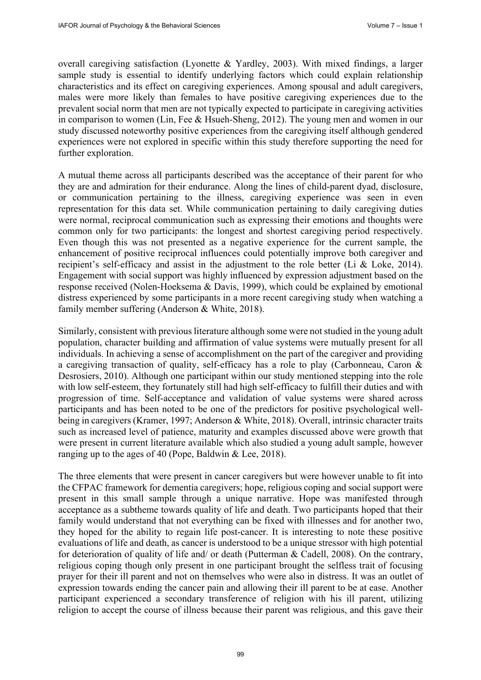overall caregiving satisfaction (Lyonette & Yardley, 2003). With mixed findings, a larger sample study is essential to identify underlying factors which could explain relationship characteristics and its effect on caregiving experiences. Among spousal and adult caregivers, males were more likely than females to have positive caregiving experiences due to the prevalent social norm that men are not typically expected to participate in caregiving activities in comparison to women (Lin, Fee & Hsueh-Sheng, 2012). The young men and women in our study discussed noteworthy positive experiences from the caregiving itself although gendered experiences were not explored in specific within this study therefore supporting the need for further exploration.

A mutual theme across all participants described was the acceptance of their parent for who they are and admiration for their endurance. Along the lines of child-parent dyad, disclosure, or communication pertaining to the illness, caregiving experience was seen in even representation for this data set. While communication pertaining to daily caregiving duties were normal, reciprocal communication such as expressing their emotions and thoughts were common only for two participants: the longest and shortest caregiving period respectively. Even though this was not presented as a negative experience for the current sample, the enhancement of positive reciprocal influences could potentially improve both caregiver and recipient's self-efficacy and assist in the adjustment to the role better (Li & Loke, 2014). Engagement with social support was highly influenced by expression adjustment based on the response received (Nolen-Hoeksema & Davis, 1999), which could be explained by emotional distress experienced by some participants in a more recent caregiving study when watching a family member suffering (Anderson & White, 2018).

Similarly, consistent with previous literature although some were not studied in the young adult population, character building and affirmation of value systems were mutually present for all individuals. In achieving a sense of accomplishment on the part of the caregiver and providing a caregiving transaction of quality, self-efficacy has a role to play (Carbonneau, Caron & Desrosiers, 2010). Although one participant within our study mentioned stepping into the role with low self-esteem, they fortunately still had high self-efficacy to fulfill their duties and with progression of time. Self-acceptance and validation of value systems were shared across participants and has been noted to be one of the predictors for positive psychological wellbeing in caregivers (Kramer, 1997; Anderson & White, 2018). Overall, intrinsic character traits such as increased level of patience, maturity and examples discussed above were growth that were present in current literature available which also studied a young adult sample, however ranging up to the ages of 40 (Pope, Baldwin & Lee, 2018).

The three elements that were present in cancer caregivers but were however unable to fit into the CFPAC framework for dementia caregivers; hope, religious coping and social support were present in this small sample through a unique narrative. Hope was manifested through acceptance as a subtheme towards quality of life and death. Two participants hoped that their family would understand that not everything can be fixed with illnesses and for another two, they hoped for the ability to regain life post-cancer. It is interesting to note these positive evaluations of life and death, as cancer is understood to be a unique stressor with high potential for deterioration of quality of life and/ or death (Putterman & Cadell, 2008). On the contrary, religious coping though only present in one participant brought the selfless trait of focusing prayer for their ill parent and not on themselves who were also in distress. It was an outlet of expression towards ending the cancer pain and allowing their ill parent to be at ease. Another participant experienced a secondary transference of religion with his ill parent, utilizing religion to accept the course of illness because their parent was religious, and this gave their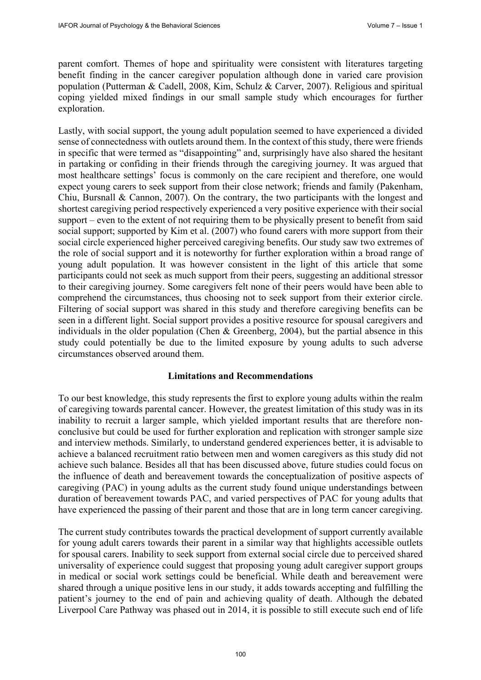parent comfort. Themes of hope and spirituality were consistent with literatures targeting benefit finding in the cancer caregiver population although done in varied care provision population (Putterman & Cadell, 2008, Kim, Schulz & Carver, 2007). Religious and spiritual coping yielded mixed findings in our small sample study which encourages for further exploration.

Lastly, with social support, the young adult population seemed to have experienced a divided sense of connectedness with outlets around them. In the context of this study, there were friends in specific that were termed as "disappointing" and, surprisingly have also shared the hesitant in partaking or confiding in their friends through the caregiving journey. It was argued that most healthcare settings' focus is commonly on the care recipient and therefore, one would expect young carers to seek support from their close network; friends and family (Pakenham, Chiu, Bursnall & Cannon, 2007). On the contrary, the two participants with the longest and shortest caregiving period respectively experienced a very positive experience with their social support – even to the extent of not requiring them to be physically present to benefit from said social support; supported by Kim et al. (2007) who found carers with more support from their social circle experienced higher perceived caregiving benefits. Our study saw two extremes of the role of social support and it is noteworthy for further exploration within a broad range of young adult population. It was however consistent in the light of this article that some participants could not seek as much support from their peers, suggesting an additional stressor to their caregiving journey. Some caregivers felt none of their peers would have been able to comprehend the circumstances, thus choosing not to seek support from their exterior circle. Filtering of social support was shared in this study and therefore caregiving benefits can be seen in a different light. Social support provides a positive resource for spousal caregivers and individuals in the older population (Chen & Greenberg, 2004), but the partial absence in this study could potentially be due to the limited exposure by young adults to such adverse circumstances observed around them.

#### **Limitations and Recommendations**

To our best knowledge, this study represents the first to explore young adults within the realm of caregiving towards parental cancer. However, the greatest limitation of this study was in its inability to recruit a larger sample, which yielded important results that are therefore nonconclusive but could be used for further exploration and replication with stronger sample size and interview methods. Similarly, to understand gendered experiences better, it is advisable to achieve a balanced recruitment ratio between men and women caregivers as this study did not achieve such balance. Besides all that has been discussed above, future studies could focus on the influence of death and bereavement towards the conceptualization of positive aspects of caregiving (PAC) in young adults as the current study found unique understandings between duration of bereavement towards PAC, and varied perspectives of PAC for young adults that have experienced the passing of their parent and those that are in long term cancer caregiving.

The current study contributes towards the practical development of support currently available for young adult carers towards their parent in a similar way that highlights accessible outlets for spousal carers. Inability to seek support from external social circle due to perceived shared universality of experience could suggest that proposing young adult caregiver support groups in medical or social work settings could be beneficial. While death and bereavement were shared through a unique positive lens in our study, it adds towards accepting and fulfilling the patient's journey to the end of pain and achieving quality of death. Although the debated Liverpool Care Pathway was phased out in 2014, it is possible to still execute such end of life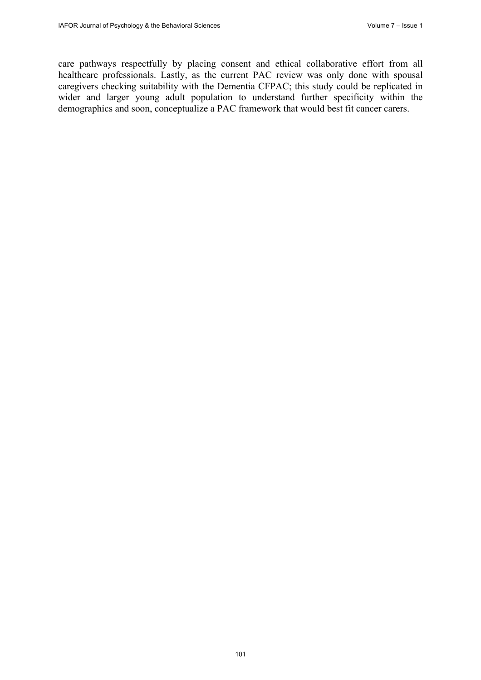care pathways respectfully by placing consent and ethical collaborative effort from all healthcare professionals. Lastly, as the current PAC review was only done with spousal caregivers checking suitability with the Dementia CFPAC; this study could be replicated in wider and larger young adult population to understand further specificity within the demographics and soon, conceptualize a PAC framework that would best fit cancer carers.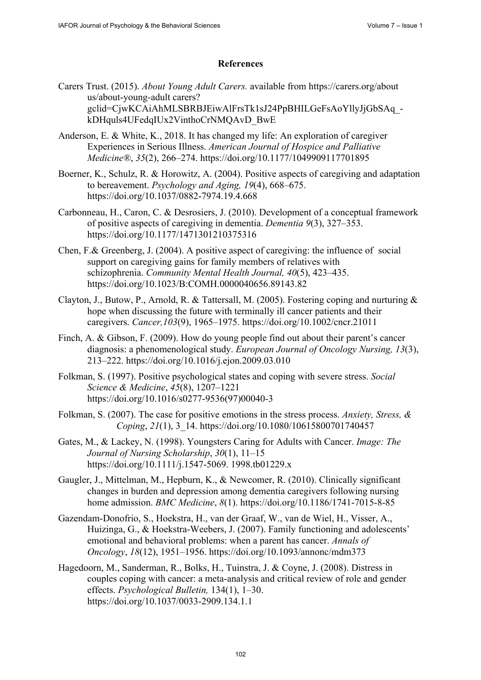### **References**

- Carers Trust. (2015). *About Young Adult Carers.* available from <https://carers.org/about> us/about-young-adult carers? gclid=CjwKCAiAhMLSBRBJEiwAlFrsTk1sJ24PpBHILGeFsAoYllyJjGbSAq\_ kDHquls4UFedqIUx2VinthoCrNMQAvD\_BwE
- Anderson, E. & White, K., 2018. It has changed my life: An exploration of caregiver Experiences in Serious Illness. *American Journal of Hospice and Palliative Medicine®*, *35*(2), 266–274. <https://doi.org/10.1177/1049909117701895>
- Boerner, K., Schulz, R. & Horowitz, A. (2004). Positive aspects of caregiving and adaptation to bereavement. *Psychology and Aging, 19*(4), 668–675. <https://doi.org/10.1037/0882-7974.19.4.668>
- Carbonneau, H., Caron, C. & Desrosiers, J. (2010). Development of a conceptual framework of positive aspects of caregiving in dementia. *Dementia 9*(3), 327–353. <https://doi.org/10.1177/1471301210375316>
- Chen, F.& Greenberg, J. (2004). A positive aspect of caregiving: the influence of social support on caregiving gains for family members of relatives with schizophrenia. *Community Mental Health Journal, 40*(5), 423–435. <https://doi.org/10.1023/B:COMH.0000040656.89143.82>
- Clayton, J., Butow, P., Arnold, R. & Tattersall, M. (2005). Fostering coping and nurturing & hope when discussing the future with terminally ill cancer patients and their caregivers. *Cancer,103*(9), 1965–1975. <https://doi.org/10.1002/cncr.21011>
- Finch, A. & Gibson, F. (2009). How do young people find out about their parent's cancer diagnosis: a phenomenological study. *European Journal of Oncology Nursing, 13*(3), 213–222. <https://doi.org/10.1016/j.ejon.2009.03.010>
- Folkman, S. (1997). Positive psychological states and coping with severe stress. *Social Science & Medicine*, *45*(8), 1207–1221 [https://doi.org/10.1016/s0277-9536\(97](https://doi.org/10.1016/s0277-9536))00040-3
- Folkman, S. (2007). The case for positive emotions in the stress process. *Anxiety, Stress, & Coping*, *21*(1), 3\_14.<https://doi.org/10.1080/10615800701740457>
- Gates, M., & Lackey, N. (1998). Youngsters Caring for Adults with Cancer. *Image: The Journal of Nursing Scholarship*, *30*(1), 11–15 [https://doi.org/10.1111/j.1547-5069. 19](https://doi.org/10.1111/j.1547-5069)98.tb01229.x
- Gaugler, J., Mittelman, M., Hepburn, K., & Newcomer, R. (2010). Clinically significant changes in burden and depression among dementia caregivers following nursing home admission. *BMC Medicine*, *8*(1).<https://doi.org/10.1186/1741-7015-8-85>
- Gazendam-Donofrio, S., Hoekstra, H., van der Graaf, W., van de Wiel, H., Visser, A., Huizinga, G., & Hoekstra-Weebers, J. (2007). Family functioning and adolescents' emotional and behavioral problems: when a parent has cancer. *Annals of Oncology*, *18*(12), 1951–1956. <https://doi.org/10.1093/annonc/mdm373>
- Hagedoorn, M., Sanderman, R., Bolks, H., Tuinstra, J. & Coyne, J. (2008). Distress in couples coping with cancer: a meta-analysis and critical review of role and gender effects. *Psychological Bulletin,* 134(1), 1–30. <https://doi.org/10.1037/0033-2909.134.1.1>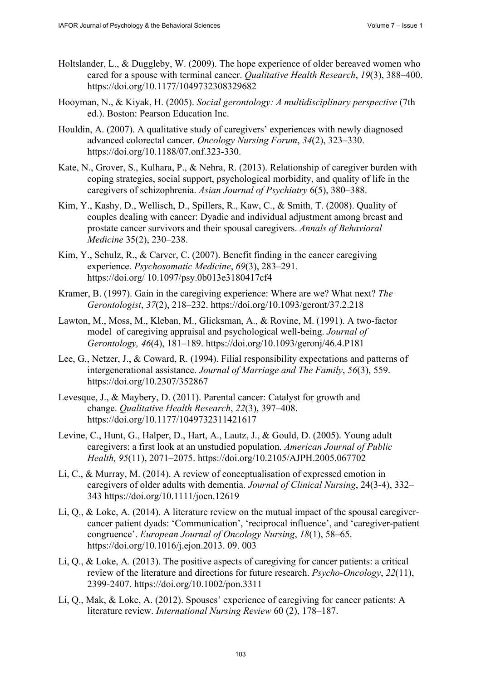- Holtslander, L., & Duggleby, W. (2009). The hope experience of older bereaved women who cared for a spouse with terminal cancer. *Qualitative Health Research*, *19*(3), 388–400. <https://doi.org/10.1177/1049732308329682>
- Hooyman, N., & Kiyak, H. (2005). *Social gerontology: A multidisciplinary perspective* (7th ed.). Boston: Pearson Education Inc.
- Houldin, A. (2007). A qualitative study of caregivers' experiences with newly diagnosed advanced colorectal cancer. *Oncology Nursing Forum*, *34*(2), 323–330. [https://doi.org/10.1188/07.onf.323-330.](https://doi.org/10.1188/07.onf.323-330)
- Kate, N., Grover, S., Kulhara, P., & Nehra, R. (2013). Relationship of caregiver burden with coping strategies, social support, psychological morbidity, and quality of life in the caregivers of schizophrenia. *Asian Journal of Psychiatry* 6(5), 380–388.
- Kim, Y., Kashy, D., Wellisch, D., Spillers, R., Kaw, C., & Smith, T. (2008). Quality of couples dealing with cancer: Dyadic and individual adjustment among breast and prostate cancer survivors and their spousal caregivers. *Annals of Behavioral Medicine* 35(2), 230–238.
- Kim, Y., Schulz, R., & Carver, C. (2007). Benefit finding in the cancer caregiving experience. *Psychosomatic Medicine*, *69*(3), 283–291. <https://doi.org/> 10.1097/psy.0b013e3180417cf4
- Kramer, B. (1997). Gain in the caregiving experience: Where are we? What next? *The Gerontologist*, *37*(2), 218–232. <https://doi.org/10.1093/geront/37.2.218>
- Lawton, M., Moss, M., Kleban, M., Glicksman, A., & Rovine, M. (1991). A two-factor model of caregiving appraisal and psychological well-being. *Journal of Gerontology, 46*(4), 181–189. <https://doi.org/10.1093/geronj/46.4.P181>
- Lee, G., Netzer, J., & Coward, R. (1994). Filial responsibility expectations and patterns of intergenerational assistance. *Journal of Marriage and The Family*, *56*(3), 559. <https://doi.org/10.2307/352867>
- Levesque, J., & Maybery, D. (2011). Parental cancer: Catalyst for growth and change. *Qualitative Health Research*, *22*(3), 397–408. <https://doi.org/10.1177/1049732311421617>
- Levine, C., Hunt, G., Halper, D., Hart, A., Lautz, J., & Gould, D. (2005). Young adult caregivers: a first look at an unstudied population. *American Journal of Public Health, 95*(11), 2071–2075. <https://doi.org/10.2105/AJPH.2005.067702>
- Li, C., & Murray, M. (2014). A review of conceptualisation of expressed emotion in caregivers of older adults with dementia. *Journal of Clinical Nursing*, 24(3-4), 332– 343 <https://doi.org/10.1111/jocn.12619>
- Li, Q., & Loke, A. (2014). A literature review on the mutual impact of the spousal caregivercancer patient dyads: 'Communication', 'reciprocal influence', and 'caregiver-patient congruence'. *European Journal of Oncology Nursing*, *18*(1), 58–65. [https://doi.org/10.1016/j.ejon.2013. 09](https://doi.org/10.1016/j.ejon.2013). 003
- Li, Q., & Loke, A. (2013). The positive aspects of caregiving for cancer patients: a critical review of the literature and directions for future research. *Psycho-Oncology*, *22*(11), 2399-2407. <https://doi.org/10.1002/pon.3311>
- Li, Q., Mak, & Loke, A. (2012). Spouses' experience of caregiving for cancer patients: A literature review. *International Nursing Review* 60 (2), 178–187.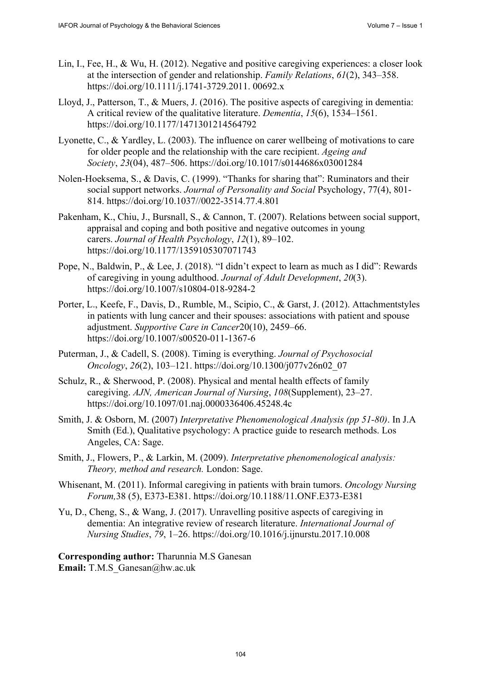- Lin, I., Fee, H., & Wu, H. (2012). Negative and positive caregiving experiences: a closer look at the intersection of gender and relationship. *Family Relations*, *61*(2), 343–358. [https://doi.org/10.1111/j.1741-3729.2011. 00](https://doi.org/10.1111/j.1741-3729.2011)692.x
- Lloyd, J., Patterson, T., & Muers, J. (2016). The positive aspects of caregiving in dementia: A critical review of the qualitative literature. *Dementia*, *15*(6), 1534–1561. <https://doi.org/10.1177/1471301214564792>
- Lyonette, C., & Yardley, L. (2003). The influence on carer wellbeing of motivations to care for older people and the relationship with the care recipient. *Ageing and Society*, *23*(04), 487–506. <https://doi.org/10.1017/s0144686x03001284>
- Nolen-Hoeksema, S., & Davis, C. (1999). "Thanks for sharing that": Ruminators and their social support networks. *Journal of Personality and Social* Psychology, 77(4), 801- 814. <https://doi.org/10.1037//0022-3514.77.4.801>
- Pakenham, K., Chiu, J., Bursnall, S., & Cannon, T. (2007). Relations between social support, appraisal and coping and both positive and negative outcomes in young carers. *Journal of Health Psychology*, *12*(1), 89–102. <https://doi.org/10.1177/1359105307071743>
- Pope, N., Baldwin, P., & Lee, J. (2018). "I didn't expect to learn as much as I did": Rewards of caregiving in young adulthood. *Journal of Adult Development*, *20*(3). <https://doi.org/10.1007/s10804-018-9284-2>
- Porter, L., Keefe, F., Davis, D., Rumble, M., Scipio, C., & Garst, J. (2012). Attachmentstyles in patients with lung cancer and their spouses: associations with patient and spouse adjustment. *Supportive Care in Cancer*20(10), 2459–66. <https://doi.org/10.1007/s00520-011-1367-6>
- Puterman, J., & Cadell, S. (2008). Timing is everything. *Journal of Psychosocial Oncology*, *26*(2), 103–121. [https://doi.org/10.1300/j077v26n02\\_07](https://doi.org/10.1300/j077v26n02_07)
- Schulz, R., & Sherwood, P. (2008). Physical and mental health effects of family caregiving. *AJN, American Journal of Nursing*, *108*(Supplement), 23–27. <https://doi.org/10.1097/01.naj.0000336406.45248.4c>
- Smith, J. & Osborn, M. (2007) *Interpretative Phenomenological Analysis (pp 51-80)*. In J.A Smith (Ed.), Qualitative psychology: A practice guide to research methods. Los Angeles, CA: Sage.
- Smith, J., Flowers, P., & Larkin, M. (2009). *Interpretative phenomenological analysis: Theory, method and research.* London: Sage.
- Whisenant, M. (2011). Informal caregiving in patients with brain tumors. *Oncology Nursing Forum,*38 (5), E373-E381. <https://doi.org/10.1188/11.ONF.E373-E381>
- Yu, D., Cheng, S., & Wang, J. (2017). Unravelling positive aspects of caregiving in dementia: An integrative review of research literature. *International Journal of Nursing Studies*, *79*, 1–26.<https://doi.org/10.1016/j.ijnurstu.2017.10.008>

**Corresponding author:** Tharunnia M.S Ganesan **Email:** T.M.S Ganesan@hw.ac.uk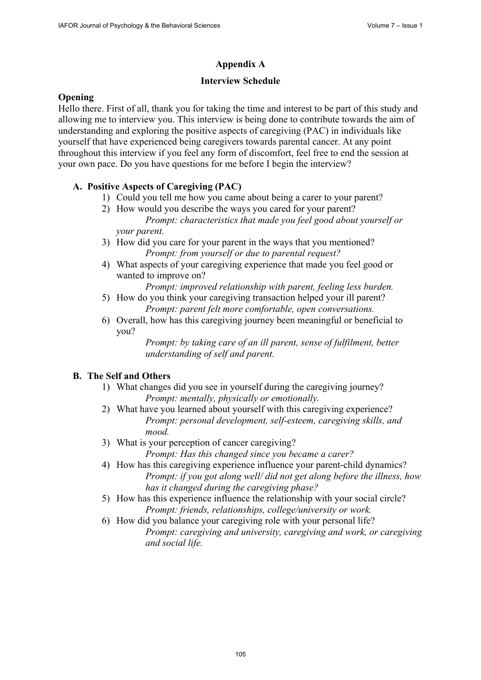# **Appendix A**

### **Interview Schedule**

### **Opening**

Hello there. First of all, thank you for taking the time and interest to be part of this study and allowing me to interview you. This interview is being done to contribute towards the aim of understanding and exploring the positive aspects of caregiving (PAC) in individuals like yourself that have experienced being caregivers towards parental cancer. At any point throughout this interview if you feel any form of discomfort, feel free to end the session at your own pace. Do you have questions for me before I begin the interview?

# **A. Positive Aspects of Caregiving (PAC)**

- 1) Could you tell me how you came about being a carer to your parent?
- 2) How would you describe the ways you cared for your parent? *Prompt: characteristics that made you feel good about yourself or your parent.*
- 3) How did you care for your parent in the ways that you mentioned? *Prompt: from yourself or due to parental request?*
- 4) What aspects of your caregiving experience that made you feel good or wanted to improve on?

*Prompt: improved relationship with parent, feeling less burden.* 

- 5) How do you think your caregiving transaction helped your ill parent? *Prompt: parent felt more comfortable, open conversations.*
- 6) Overall, how has this caregiving journey been meaningful or beneficial to you?

*Prompt: by taking care of an ill parent, sense of fulfilment, better understanding of self and parent.* 

# **B. The Self and Others**

- 1) What changes did you see in yourself during the caregiving journey? *Prompt: mentally, physically or emotionally.*
- 2) What have you learned about yourself with this caregiving experience? *Prompt: personal development, self-esteem, caregiving skills, and mood.*
- 3) What is your perception of cancer caregiving? *Prompt: Has this changed since you became a carer?*
- 4) How has this caregiving experience influence your parent-child dynamics? *Prompt: if you got along well/ did not get along before the illness, how has it changed during the caregiving phase?*
- 5) How has this experience influence the relationship with your social circle? *Prompt: friends, relationships, college/university or work.*
- 6) How did you balance your caregiving role with your personal life? *Prompt: caregiving and university, caregiving and work, or caregiving and social life.*